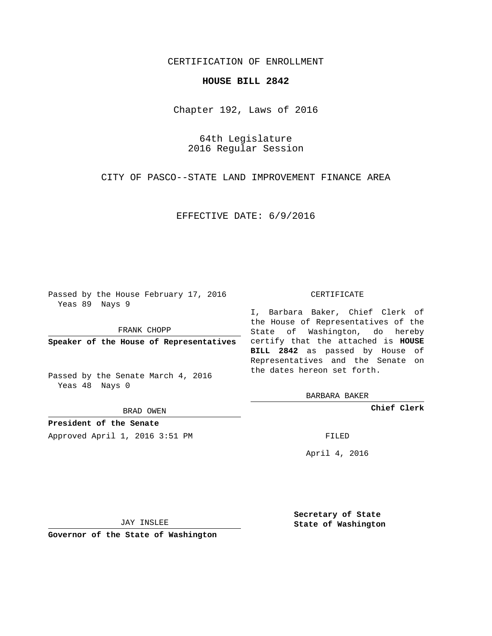## CERTIFICATION OF ENROLLMENT

## **HOUSE BILL 2842**

Chapter 192, Laws of 2016

64th Legislature 2016 Regular Session

CITY OF PASCO--STATE LAND IMPROVEMENT FINANCE AREA

EFFECTIVE DATE: 6/9/2016

Passed by the House February 17, 2016 Yeas 89 Nays 9

FRANK CHOPP

Passed by the Senate March 4, 2016 Yeas 48 Nays 0

BRAD OWEN

**President of the Senate**

Approved April 1, 2016 3:51 PM FILED

## CERTIFICATE

**Speaker of the House of Representatives** certify that the attached is **HOUSE** I, Barbara Baker, Chief Clerk of the House of Representatives of the State of Washington, do hereby **BILL 2842** as passed by House of Representatives and the Senate on the dates hereon set forth.

BARBARA BAKER

**Chief Clerk**

April 4, 2016

JAY INSLEE

**Governor of the State of Washington**

**Secretary of State State of Washington**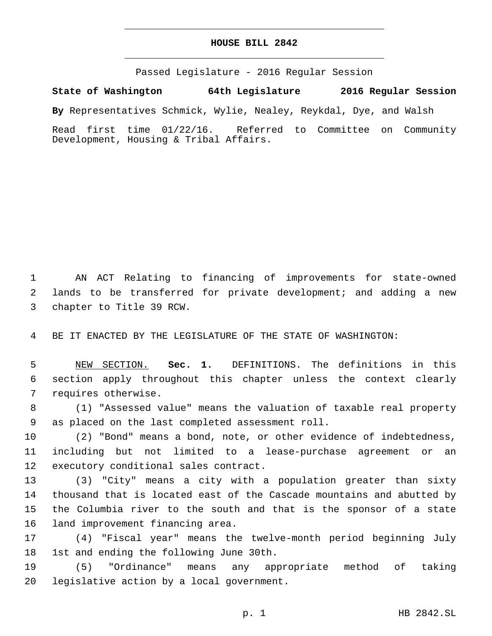## **HOUSE BILL 2842**

Passed Legislature - 2016 Regular Session

**State of Washington 64th Legislature 2016 Regular Session**

**By** Representatives Schmick, Wylie, Nealey, Reykdal, Dye, and Walsh

Read first time 01/22/16. Referred to Committee on Community Development, Housing & Tribal Affairs.

1 AN ACT Relating to financing of improvements for state-owned 2 lands to be transferred for private development; and adding a new 3 chapter to Title 39 RCW.

4 BE IT ENACTED BY THE LEGISLATURE OF THE STATE OF WASHINGTON:

5 NEW SECTION. **Sec. 1.** DEFINITIONS. The definitions in this 6 section apply throughout this chapter unless the context clearly 7 requires otherwise.

8 (1) "Assessed value" means the valuation of taxable real property 9 as placed on the last completed assessment roll.

10 (2) "Bond" means a bond, note, or other evidence of indebtedness, 11 including but not limited to a lease-purchase agreement or an 12 executory conditional sales contract.

 (3) "City" means a city with a population greater than sixty thousand that is located east of the Cascade mountains and abutted by the Columbia river to the south and that is the sponsor of a state 16 land improvement financing area.

17 (4) "Fiscal year" means the twelve-month period beginning July 18 1st and ending the following June 30th.

19 (5) "Ordinance" means any appropriate method of taking 20 legislative action by a local government.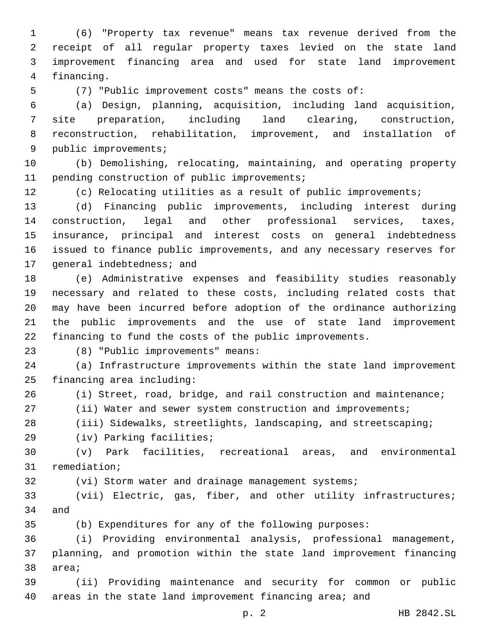(6) "Property tax revenue" means tax revenue derived from the receipt of all regular property taxes levied on the state land improvement financing area and used for state land improvement 4 financing.

(7) "Public improvement costs" means the costs of:

 (a) Design, planning, acquisition, including land acquisition, site preparation, including land clearing, construction, reconstruction, rehabilitation, improvement, and installation of 9 public improvements;

 (b) Demolishing, relocating, maintaining, and operating property 11 pending construction of public improvements;

(c) Relocating utilities as a result of public improvements;

 (d) Financing public improvements, including interest during construction, legal and other professional services, taxes, insurance, principal and interest costs on general indebtedness issued to finance public improvements, and any necessary reserves for 17 general indebtedness; and

 (e) Administrative expenses and feasibility studies reasonably necessary and related to these costs, including related costs that may have been incurred before adoption of the ordinance authorizing the public improvements and the use of state land improvement financing to fund the costs of the public improvements.

(8) "Public improvements" means:23

 (a) Infrastructure improvements within the state land improvement 25 financing area including:

(i) Street, road, bridge, and rail construction and maintenance;

(ii) Water and sewer system construction and improvements;

(iii) Sidewalks, streetlights, landscaping, and streetscaping;

29 (iv) Parking facilities;

 (v) Park facilities, recreational areas, and environmental 31 remediation;

32 (vi) Storm water and drainage management systems;

 (vii) Electric, gas, fiber, and other utility infrastructures; 34 and

(b) Expenditures for any of the following purposes:

 (i) Providing environmental analysis, professional management, planning, and promotion within the state land improvement financing 38 area;

 (ii) Providing maintenance and security for common or public areas in the state land improvement financing area; and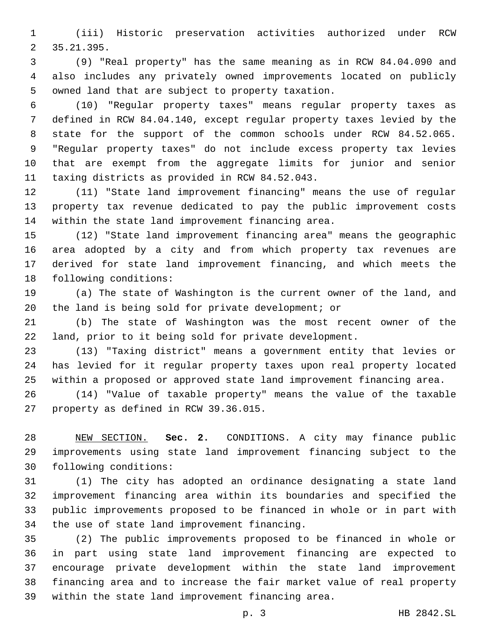(iii) Historic preservation activities authorized under RCW 35.21.395.2

 (9) "Real property" has the same meaning as in RCW 84.04.090 and also includes any privately owned improvements located on publicly 5 owned land that are subject to property taxation.

 (10) "Regular property taxes" means regular property taxes as defined in RCW 84.04.140, except regular property taxes levied by the state for the support of the common schools under RCW 84.52.065. "Regular property taxes" do not include excess property tax levies that are exempt from the aggregate limits for junior and senior 11 taxing districts as provided in RCW 84.52.043.

 (11) "State land improvement financing" means the use of regular property tax revenue dedicated to pay the public improvement costs 14 within the state land improvement financing area.

 (12) "State land improvement financing area" means the geographic area adopted by a city and from which property tax revenues are derived for state land improvement financing, and which meets the 18 following conditions:

 (a) The state of Washington is the current owner of the land, and the land is being sold for private development; or

 (b) The state of Washington was the most recent owner of the land, prior to it being sold for private development.

 (13) "Taxing district" means a government entity that levies or has levied for it regular property taxes upon real property located within a proposed or approved state land improvement financing area.

 (14) "Value of taxable property" means the value of the taxable 27 property as defined in RCW 39.36.015.

 NEW SECTION. **Sec. 2.** CONDITIONS. A city may finance public improvements using state land improvement financing subject to the following conditions:

 (1) The city has adopted an ordinance designating a state land improvement financing area within its boundaries and specified the public improvements proposed to be financed in whole or in part with 34 the use of state land improvement financing.

 (2) The public improvements proposed to be financed in whole or in part using state land improvement financing are expected to encourage private development within the state land improvement financing area and to increase the fair market value of real property 39 within the state land improvement financing area.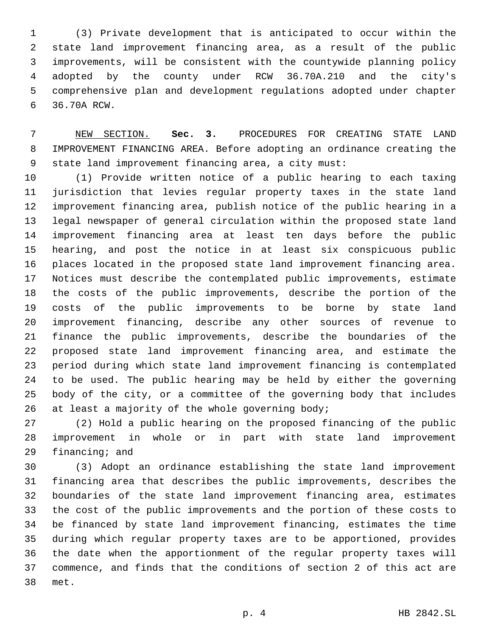(3) Private development that is anticipated to occur within the state land improvement financing area, as a result of the public improvements, will be consistent with the countywide planning policy adopted by the county under RCW 36.70A.210 and the city's comprehensive plan and development regulations adopted under chapter 36.70A RCW.6

 NEW SECTION. **Sec. 3.** PROCEDURES FOR CREATING STATE LAND IMPROVEMENT FINANCING AREA. Before adopting an ordinance creating the state land improvement financing area, a city must:

 (1) Provide written notice of a public hearing to each taxing jurisdiction that levies regular property taxes in the state land improvement financing area, publish notice of the public hearing in a legal newspaper of general circulation within the proposed state land improvement financing area at least ten days before the public hearing, and post the notice in at least six conspicuous public places located in the proposed state land improvement financing area. Notices must describe the contemplated public improvements, estimate the costs of the public improvements, describe the portion of the costs of the public improvements to be borne by state land improvement financing, describe any other sources of revenue to finance the public improvements, describe the boundaries of the proposed state land improvement financing area, and estimate the period during which state land improvement financing is contemplated to be used. The public hearing may be held by either the governing body of the city, or a committee of the governing body that includes 26 at least a majority of the whole governing body;

 (2) Hold a public hearing on the proposed financing of the public improvement in whole or in part with state land improvement financing; and

 (3) Adopt an ordinance establishing the state land improvement financing area that describes the public improvements, describes the boundaries of the state land improvement financing area, estimates the cost of the public improvements and the portion of these costs to be financed by state land improvement financing, estimates the time during which regular property taxes are to be apportioned, provides the date when the apportionment of the regular property taxes will commence, and finds that the conditions of section 2 of this act are met.38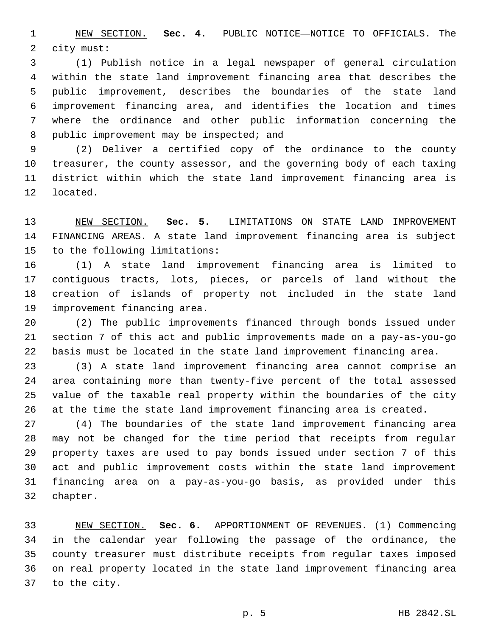NEW SECTION. **Sec. 4.** PUBLIC NOTICE—NOTICE TO OFFICIALS. The city must:

 (1) Publish notice in a legal newspaper of general circulation within the state land improvement financing area that describes the public improvement, describes the boundaries of the state land improvement financing area, and identifies the location and times where the ordinance and other public information concerning the 8 public improvement may be inspected; and

 (2) Deliver a certified copy of the ordinance to the county treasurer, the county assessor, and the governing body of each taxing district within which the state land improvement financing area is 12 located.

 NEW SECTION. **Sec. 5.** LIMITATIONS ON STATE LAND IMPROVEMENT FINANCING AREAS. A state land improvement financing area is subject to the following limitations:

 (1) A state land improvement financing area is limited to contiguous tracts, lots, pieces, or parcels of land without the creation of islands of property not included in the state land 19 improvement financing area.

 (2) The public improvements financed through bonds issued under section 7 of this act and public improvements made on a pay-as-you-go basis must be located in the state land improvement financing area.

 (3) A state land improvement financing area cannot comprise an area containing more than twenty-five percent of the total assessed value of the taxable real property within the boundaries of the city at the time the state land improvement financing area is created.

 (4) The boundaries of the state land improvement financing area may not be changed for the time period that receipts from regular property taxes are used to pay bonds issued under section 7 of this act and public improvement costs within the state land improvement financing area on a pay-as-you-go basis, as provided under this 32 chapter.

 NEW SECTION. **Sec. 6.** APPORTIONMENT OF REVENUES. (1) Commencing in the calendar year following the passage of the ordinance, the county treasurer must distribute receipts from regular taxes imposed on real property located in the state land improvement financing area to the city.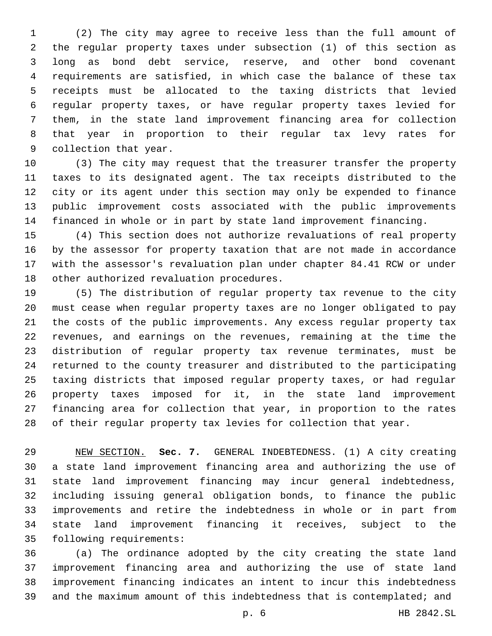(2) The city may agree to receive less than the full amount of the regular property taxes under subsection (1) of this section as long as bond debt service, reserve, and other bond covenant requirements are satisfied, in which case the balance of these tax receipts must be allocated to the taxing districts that levied regular property taxes, or have regular property taxes levied for them, in the state land improvement financing area for collection that year in proportion to their regular tax levy rates for 9 collection that year.

 (3) The city may request that the treasurer transfer the property taxes to its designated agent. The tax receipts distributed to the city or its agent under this section may only be expended to finance public improvement costs associated with the public improvements financed in whole or in part by state land improvement financing.

 (4) This section does not authorize revaluations of real property by the assessor for property taxation that are not made in accordance with the assessor's revaluation plan under chapter 84.41 RCW or under 18 other authorized revaluation procedures.

 (5) The distribution of regular property tax revenue to the city must cease when regular property taxes are no longer obligated to pay the costs of the public improvements. Any excess regular property tax revenues, and earnings on the revenues, remaining at the time the distribution of regular property tax revenue terminates, must be returned to the county treasurer and distributed to the participating taxing districts that imposed regular property taxes, or had regular property taxes imposed for it, in the state land improvement financing area for collection that year, in proportion to the rates of their regular property tax levies for collection that year.

 NEW SECTION. **Sec. 7.** GENERAL INDEBTEDNESS. (1) A city creating a state land improvement financing area and authorizing the use of state land improvement financing may incur general indebtedness, including issuing general obligation bonds, to finance the public improvements and retire the indebtedness in whole or in part from state land improvement financing it receives, subject to the following requirements:

 (a) The ordinance adopted by the city creating the state land improvement financing area and authorizing the use of state land improvement financing indicates an intent to incur this indebtedness and the maximum amount of this indebtedness that is contemplated; and